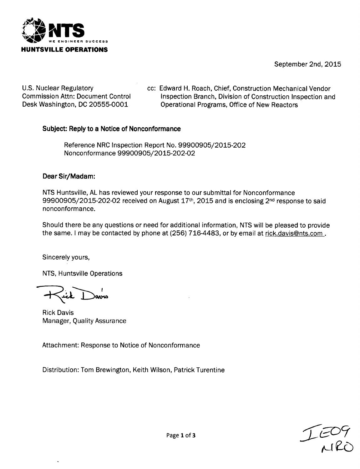

September 2nd, 2015

U.S. Nuclear Regulatory Commission Attn: Document Control Desk Washington, DC 20555-0001

cc: Edward H. Roach, Chief, Construction Mechanical Vendor Inspection Branch, Division of Construction Inspection and Operational Programs, Office of New Reactors

## Subject: Reply to a Notice of Nonconformance

Reference NRC Inspection Report No. 99900905/2015-202 Nonconformance 99900905/2015-202-02

#### Dear Sir/Madam:

NTS Huntsville, AL has reviewed your response to our submittal for Nonconformance 99900905/2015-202-02 received on August  $17<sup>th</sup>$ , 2015 and is enclosing  $2<sup>nd</sup>$  response to said nonconformance.

Should there be any questions or need for additional information, NTS will be pleased to provide the same. I may be contacted by phone at (256) 716-4483, or by email at rick.davis@nts.com.

Sincerely yours,

NTS, Huntsville Operations

Rick Davis Manager, Quality Assurance

Attachment: Response to Notice of Nonconformance

Distribution: Tom Brewington, Keith Wilson, Patrick Turentine

Page 1lof **3** )"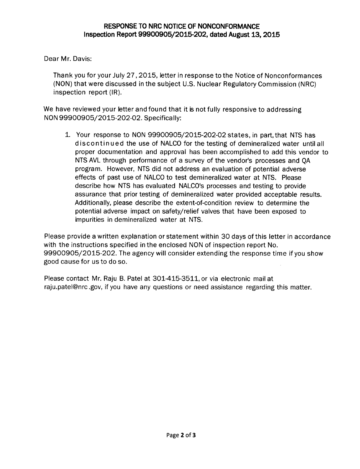Dear Mr. Davis:

Thank you for your July 27,2015, letter in response to the Notice of Nonconformances (NON) that were discussed in the subject U.S. Nuclear Regulatory Commission (NRC) inspection report (IR).

We have reviewed your letter and found that it is not fully responsive to addressing NON 99900905/2015-202-02. Specifically:

1. Your response to NON 99900905/2015-202-02 states, in part, that NTS has discontinued the use of NALCO for the testing of demineralized water until all proper documentation and approval has been accomplished to add this vendor to NTS AVL through performance of a survey of the vendor's processes and QA program. However, NTS did not address an evaluation of potential adverse effects of past use of NALCO to test demineralized water at NTS. Please describe how NTS has evaluated NALCO's processes and testing to provide assurance that prior testing of demineralized water provided acceptable results. Additionally, please describe the extent-of-condition review to determine the potential adverse impact on safety/relief valves that have been exposed to impurities in demineralized water at NTS.

Please provide a written explanation or statement within 30 days of this letter in accordance with the instructions specified in the enclosed NON of inspection report No. 99900905/2015-202. The agency will consider extending the response time if you show good cause for us to do so.

Please contact Mr. Raju B. Patel at 301-415-3511, or via electronic mail at raju.patel@nrc .gov, if you have any questions or need assistance regarding this matter.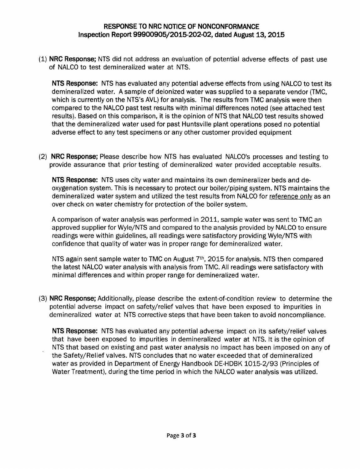### **RESPONSE TO NRC NOTICE OF NONCONFORMANCE Inspection Report 99900905/2015-202-02, dated August 13, 2015**

**(1) NRC Response;** NTS did not address an evaluation of potential adverse effects of past use of NALCO to test demineralized water at NTS.

**NTS Response: NTS has evaluated** any potential adverse effects from using NALCO to test its demineralized water. A sample of deionized water was supplied to a separate vendor (TMC, which is currently on the NTS's AVL) for analysis. The results from TMC analysis were then compared to the NALCO past test results with minimal differences noted (see attached test results). Based on this comparison, it is the opinion of NTS that NALCO test results showed that the demineralized water used for past Huntsville plant operations posed no potential adverse effect to any test specimens or any other customer provided equipment

(2) NRC **Response;** Please describe how NTS has evaluated NALCO's processes and testing to provide assurance that prior testing of demineralized water provided acceptable results.

NTS **Response:** NTS uses city water and maintains its own demineralizer beds and deoxygenation system. This is necessary to protect our boiler/piping system. NTS maintains the demineralized water system and utilized the test results from NALCO for reference only as an over check on water chemistry for protection of the boiler system.

A comparison of water analysis was performed in 2011, sample water was sent to TMC an approved supplier for Wyle/NTS and compared to the analysis provided by NALCO to ensure readings were within guidelines, all readings were satisfactory providing Wyle/NTS with confidence that quality of water was in proper range for demineralized water.

NTS again sent sample water to TMC on August **7th,** 2015 for analysis. NTS then compared the latest NALCO water analysis with analysis from TMC. All readings were satisfactory with minimal differences and within proper range for demineralized water.

(3) NRC **Response;** Additionally, please describe the extent-of-condition review to determine the potential adverse impact on safety/relief valves that have been exposed to impurities in demineralized water at NTS corrective steps that have been taken to avoid noncompliance.

NTS Response: NTS has evaluated any potential adverse impact on its safety/relief valves that have been exposed to impurities in demineralized water at NTS. It is the opinion of NTS that based on existing and past water analysis no impact has been imposed on any of the Safety/Relief valves. NTS concludes that no water exceeded that of demineralized water as provided in Department of Energy Handbook DE-HDBK 1015-2/93 (Principles of Water Treatment), during the time period in which the NALCO water analysis was utilized.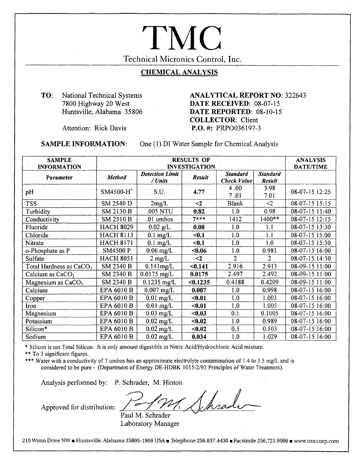# Technical Micronics Control, Inc. **TMC**

## **CHEMICAL ANALYSIS**

**TO:** National Technical Systems 7800 Highway 20 West Huntsville, Alabama *35806*

#### **ANALYTICAL REPORT NO:** 322643 **DATE RECEIVED:** 08-07-15 **DATE REPORTED:** 08-10-15 **COLLECTOR:** Client **P.O. #1:** PRP0036197-3

Attention: Rick Davis

#### **SAMPLE INFORMATION:**

One (1). DI Water Sample for Chemical Analysis

| <b>SAMPLE</b><br><b>INFORMATION</b> | <b>RESULTS OF</b><br><b>INVESTIGATION</b> |                                   |          |                                       |                                  | <b>ANALYSIS</b><br><b>DATE/TIME</b> |
|-------------------------------------|-------------------------------------------|-----------------------------------|----------|---------------------------------------|----------------------------------|-------------------------------------|
| Parameter                           | <b>Method</b>                             | <b>Detection Limit</b><br>/ Units | Result   | <b>Standard</b><br><b>Check Value</b> | <b>Standard</b><br><b>Result</b> |                                     |
| pH                                  | $SM4500-H$ <sup>+</sup>                   | S.U.                              | 4.77     | 4.00<br>7.01                          | 3.98<br>7.01                     | 08-07-15 12:25                      |
| <b>TSS</b>                          | SM 2540 D                                 | 2mg/L                             | $\leq$   | <b>Blank</b>                          | $<$ 2                            | 08-07-15 15:15                      |
| Turbidity                           | SM 2130 B                                 | .005 NTU                          | 0.82     | 1.0                                   | 0.98                             | 08-07-15 11:40                      |
| Conductivity                        | SM 2510 B                                 | $.01$ umhos                       | $7***$   | 1412                                  | 1400**                           | 08-07-15 12:15                      |
| Fluoride                            | <b>HACH 8029</b>                          | $0.02$ g/L                        | 0.08     | 1.0                                   | 1.1                              | 08-07-15 13:30                      |
| Chloride                            | <b>HACH 8113</b>                          | $0.1$ mg/L                        | < 0.1    | 1.0                                   | 1.1                              | 08-07-15 15:00                      |
| Nitrate                             | <b>HACH 8171</b>                          | $0.1$ mg/L                        | $0.1$    | 1.0                                   | 1.0                              | 08-07-15 15:30                      |
| o-Phosphate as P                    | <b>SM4500 P</b>                           | $0.06$ mg/L                       | $0.06$   | 1.0                                   | 0.981                            | 08-07-15 16:00                      |
| Sulfate                             | <b>HACH 8051</b>                          | $2 \text{ mg/L}$                  | $\leq$   | 2                                     | 2                                | 08-07-15 14:30                      |
| Total Hardness as CaCO <sub>3</sub> | SM 2340 B                                 | $0.141$ mg/L                      | $0.141$  | 2.916                                 | 2.913                            | 08-09-15 11:00                      |
| Calcium as CaCO <sub>3</sub>        | SM 2340 B                                 | $0.0175$ mg/L                     | 0.0175   | 2.497                                 | 2.492                            | 08-09-15 11:00                      |
| Magnesium as CaCO <sub>3</sub>      | SM 2340 B                                 | $0.1235$ mg/L                     | < 0.1235 | 0.4188                                | 0.4209                           | 08-09-15 11:00                      |
| Calcium                             | EPA 6010 B                                | $0.007$ mg/L                      | 0.007    | 1.0                                   | 0.998                            | 08-07-15 16:00                      |
| Copper                              | EPA 6010 B                                | $0.01$ mg/L                       | $0.01$   | 1.0                                   | 1.003                            | 08-07-15 16:00                      |
| Iron                                | EPA 6010 B                                | $0.01$ mg/L                       | $0.01$   | 1.0                                   | 1.005                            | 08-07-15 16:00                      |
| Magnesium                           | EPA 6010 B                                | $0.03$ mg/L                       | < 0.03   | 0.1                                   | 0.1005                           | 08-07-15 16:00                      |
| Potassium                           | EPA 6010 B                                | $0.02$ mg/L                       | $0.02$   | 1.0                                   | 0.989                            | 08-07-15 16:00                      |
| Silicon*                            | EPA 6010 B                                | $0.02$ mg/L                       | $0.02$   | 0.5                                   | 0.503                            | 08-07-15 16:00                      |
| Sodium                              | EPA 6010 B                                | $0.02$ mg/L                       | 0.034    | 1.0                                   | 1.029                            | 08-07-15 16:00                      |

\* SHICON IS NOT TOTAL SHIC

\*\* To 3 significant figures.<br>\*\*\* Water with a conductivity of 7 umhos has an approximate electrolyte contamination of 1.4 to 3.5 mg/L and is considered to be pure - (Department of Energy DE-HDBK 1015-2/93 Principles of Water Treatment).

Analysis performed by: P. Schrader, M. Hinton

Approved for distribution:

 $\bigcap_{i=1}^n$ heady Paul M. Schrader

Laboratory Manager

210 Wynn Drive NW · Huntsville, Alabama 35805-1909 USA · Telephone 256.837.4430 · Facsimile 256.721.9066 · www.tmccorp.com